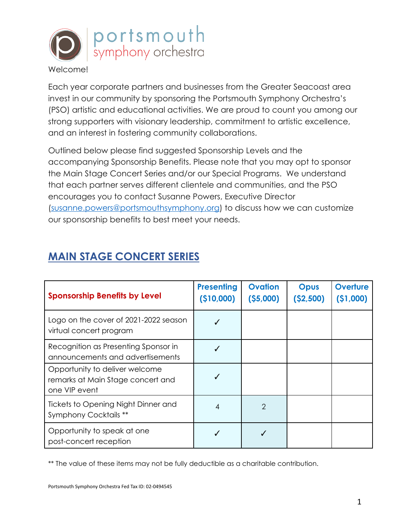

Each year corporate partners and businesses from the Greater Seacoast area invest in our community by sponsoring the Portsmouth Symphony Orchestra's (PSO) artistic and educational activities. We are proud to count you among our strong supporters with visionary leadership, commitment to artistic excellence, and an interest in fostering community collaborations.

Outlined below please find suggested Sponsorship Levels and the accompanying Sponsorship Benefits. Please note that you may opt to sponsor the Main Stage Concert Series and/or our Special Programs. We understand that each partner serves different clientele and communities, and the PSO encourages you to contact Susanne Powers, Executive Director [\(susanne.powers@portsmouthsymphony.org\)](mailto:susanne.powers@portsmouthsymphony.org) to discuss how we can customize our sponsorship benefits to best meet your needs.

|  | <b>MAIN STAGE CONCERT SERIES</b> |  |
|--|----------------------------------|--|
|  |                                  |  |

| <b>Sponsorship Benefits by Level</b>                                                 | <b>Presenting</b><br>( \$10,000] | <b>Ovation</b><br>(55,000) | <b>Opus</b><br>(52, 500) | Overture<br>(51,000) |
|--------------------------------------------------------------------------------------|----------------------------------|----------------------------|--------------------------|----------------------|
| Logo on the cover of 2021-2022 season<br>virtual concert program                     |                                  |                            |                          |                      |
| Recognition as Presenting Sponsor in<br>announcements and advertisements             |                                  |                            |                          |                      |
| Opportunity to deliver welcome<br>remarks at Main Stage concert and<br>one VIP event |                                  |                            |                          |                      |
| Tickets to Opening Night Dinner and<br>Symphony Cocktails **                         | 4                                | $\mathcal{P}$              |                          |                      |
| Opportunity to speak at one<br>post-concert reception                                |                                  |                            |                          |                      |

\*\* The value of these items may not be fully deductible as a charitable contribution.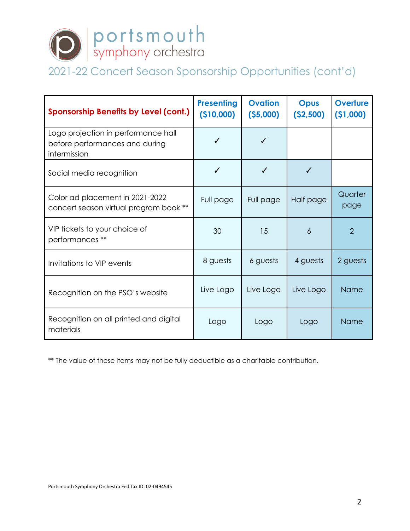

# 2021-22 Concert Season Sponsorship Opportunities (cont'd)

| Sponsorship Benefits by Level (cont.)                                                 | <b>Presenting</b><br>(\$10,000) | <b>Ovation</b><br>(55,000) | <b>Opus</b><br>( \$2,500) | Overture<br>(51,000) |
|---------------------------------------------------------------------------------------|---------------------------------|----------------------------|---------------------------|----------------------|
| Logo projection in performance hall<br>before performances and during<br>intermission | ✓                               |                            |                           |                      |
| Social media recognition                                                              | ✓                               |                            | ✔                         |                      |
| Color ad placement in 2021-2022<br>concert season virtual program book **             | Full page                       | Full page                  | Half page                 | Quarter<br>page      |
| VIP tickets to your choice of<br>performances **                                      | 30                              | 15                         | 6                         | $\overline{2}$       |
| Invitations to VIP events                                                             | 8 guests                        | 6 guests                   | 4 guests                  | 2 guests             |
| Recognition on the PSO's website                                                      | Live Logo                       | Live Logo                  | Live Logo                 | <b>Name</b>          |
| Recognition on all printed and digital<br>materials                                   | Logo                            | Logo                       | Logo                      | <b>Name</b>          |

\*\* The value of these items may not be fully deductible as a charitable contribution.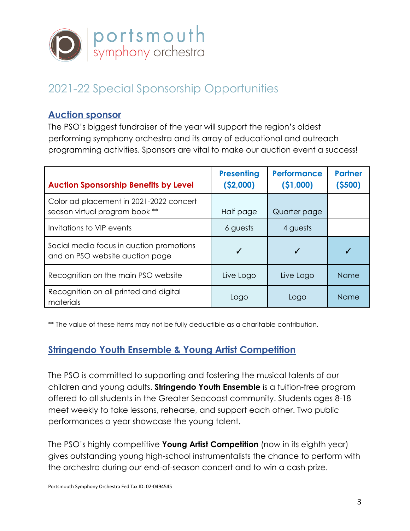

# 2021-22 Special Sponsorship Opportunities

#### **Auction sponsor**

The PSO's biggest fundraiser of the year will support the region's oldest performing symphony orchestra and its array of educational and outreach programming activities. Sponsors are vital to make our auction event a success!

| <b>Auction Sponsorship Benefits by Level</b>                                | <b>Presenting</b><br>( \$2,000) | <b>Performance</b><br>(51,000) | <b>Partner</b><br>(5500) |
|-----------------------------------------------------------------------------|---------------------------------|--------------------------------|--------------------------|
| Color ad placement in 2021-2022 concert<br>season virtual program book **   | Half page                       | Quarter page                   |                          |
| Invitations to VIP events                                                   | 6 guests                        | 4 guests                       |                          |
| Social media focus in auction promotions<br>and on PSO website auction page | √                               |                                |                          |
| Recognition on the main PSO website                                         | Live Logo                       | Live Logo                      | <b>Name</b>              |
| Recognition on all printed and digital<br>materials                         | Logo                            | Logo                           | <b>Name</b>              |

\*\* The value of these items may not be fully deductible as a charitable contribution.

### **Stringendo Youth Ensemble & Young Artist Competition**

The PSO is committed to supporting and fostering the musical talents of our children and young adults. **Stringendo Youth Ensemble** is a tuition-free program offered to all students in the Greater Seacoast community. Students ages 8-18 meet weekly to take lessons, rehearse, and support each other. Two public performances a year showcase the young talent.

The PSO's highly competitive **Young Artist Competition** (now in its eighth year) gives outstanding young high-school instrumentalists the chance to perform with the orchestra during our end-of-season concert and to win a cash prize.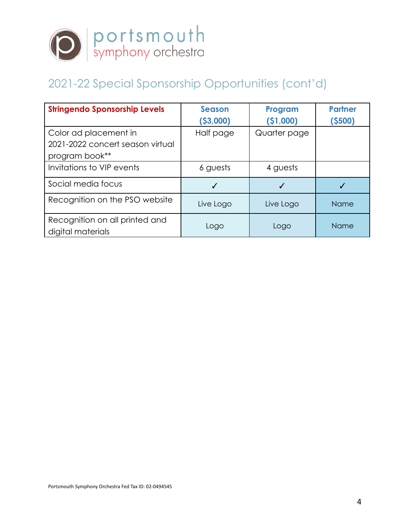

# 2021-22 Special Sponsorship Opportunities (cont'd)

| <b>Stringendo Sponsorship Levels</b>                | <b>Season</b> | Program      | <b>Partner</b> |
|-----------------------------------------------------|---------------|--------------|----------------|
|                                                     | (53,000)      | ( \$1,000)   | (5500)         |
| Color ad placement in                               | Half page     | Quarter page |                |
| 2021-2022 concert season virtual                    |               |              |                |
| program book**                                      |               |              |                |
| Invitations to VIP events                           | 6 guests      | 4 guests     |                |
| Social media focus                                  | J             |              |                |
| Recognition on the PSO website                      | Live Logo     | Live Logo    | Name           |
| Recognition on all printed and<br>digital materials | Logo          | Logo         | Name           |